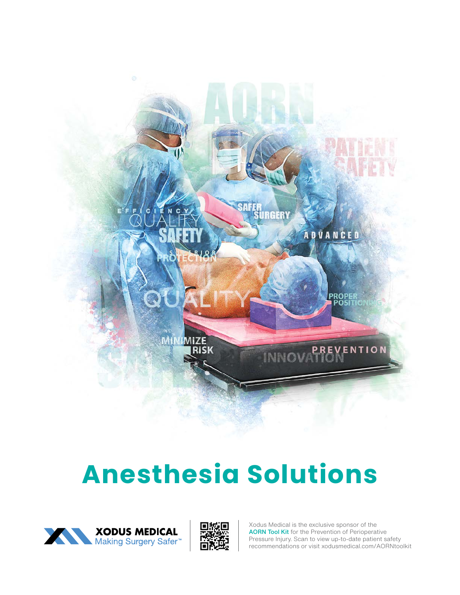

# **Anesthesia Solutions**





Xodus Medical is the exclusive sponsor of the AORN Tool Kit for the Prevention of Perioperative Pressure Injury. Scan to view up-to-date patient safety recommendations or visit xodusmedical.com/AORNtoolkit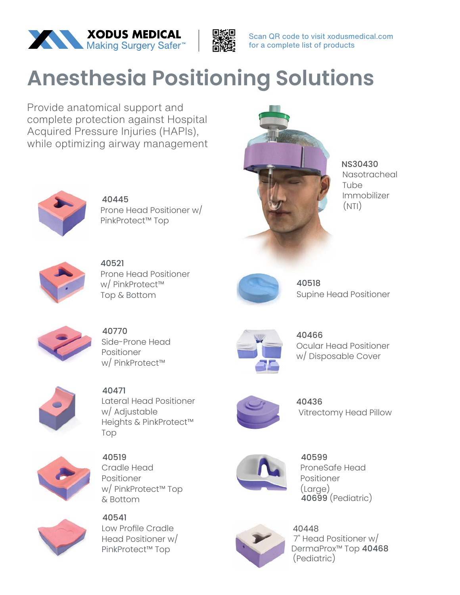



Scan QR code to visit xodusmedical.com for a complete list of products

## **Anesthesia Positioning Solutions**

Provide anatomical support and complete protection against Hospital Acquired Pressure Injuries (HAPIs), while optimizing airway management



40445 Prone Head Positioner w/ PinkProtect™ Top



NS30430 Nasotracheal Tube Immobilizer (NTI)



40521 Prone Head Positioner w/ PinkProtect™ Top & Bottom



40518 Supine Head Positioner



40770 Side-Prone Head Positioner w/ PinkProtect™



40466 Ocular Head Positioner w/ Disposable Cover

Vitrectomy Head Pillow



40471 Lateral Head Positioner w/ Adjustable Heights & PinkProtect™ Top



40519 Cradle Head Positioner w/ PinkProtect™ Top & Bottom



40541 Low Profile Cradle Head Positioner w/ PinkProtect™ Top



40599 ProneSafe Head Positioner (Large) 40699 (Pediatric)

40436



40448 7" Head Positioner w/ DermaProx™ Top 40468 (Pediatric)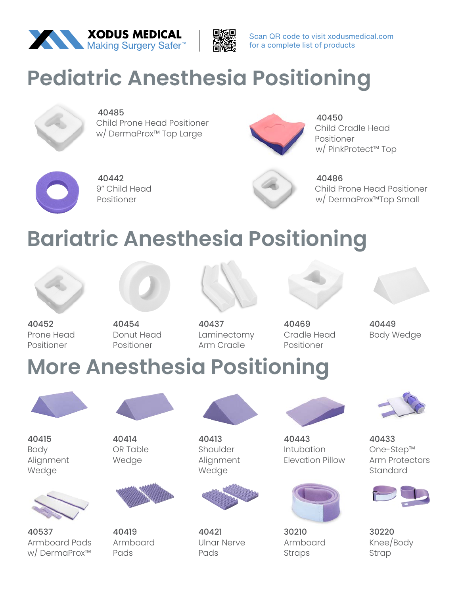



Scan QR code to visit xodusmedical.com for a complete list of products

### **Pediatric Anesthesia Positioning**



#### 40485

Child Prone Head Positioner w/ DermaProx™ Top Large



40450 Child Cradle Head Positioner w/ PinkProtect™ Top



40442 9" Child Head Positioner



40486 Child Prone Head Positioner w/ DermaProx™Top Small

## **Bariatric Anesthesia Positioning**



40452

Prone Head Positioner Positioner



40437 Laminectomy Arm Cradle



Cradle Head Positioner

40469

40449 Body Wedge

#### **More Anesthesia Positioning**



40415 Body Alignment Wedge

40537

Armboard Pads w/ DermaProx™



40454

Donut Head



40419 Armboard Pads



40413 Shoulder Alignment Wedge



40421 Ulnar Nerve Pads



40443 Intubation Elevation Pillow



30210 Armboard Straps



40433 One-Step™ Arm Protectors Standard



30220 Knee/Body Strap